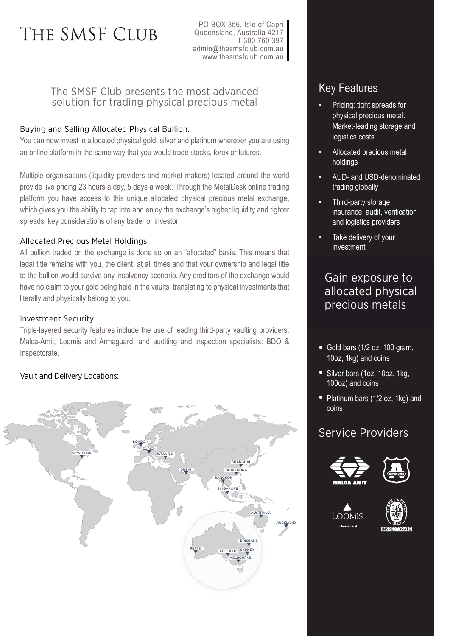# THE SMSF CLUB

PO BOX 356, Isle of Capri Queensland, Australia 4217 1 300 760 397 admin@thesmsfclub.com.au www.thesmsfclub.com.au

## The SMSF Club presents the most advanced solution for trading physical precious metal

### Buying and Selling Allocated Physical Bullion:

You can now invest in allocated physical gold, silver and platinum wherever you are using an online platform in the same way that you would trade stocks, forex or futures.

Multiple organisations (liquidity providers and market makers) located around the world provide live pricing 23 hours a day, 5 days a week. Through the MetalDesk online trading platform you have access to this unique allocated physical precious metal exchange, which gives you the ability to tap into and enjoy the exchange's higher liquidity and tighter spreads; key considerations of any trader or investor.

#### Allocated Precious Metal Holdings:

All bullion traded on the exchange is done so on an "allocated" basis. This means that legal title remains with you, the client, at all times and that your ownership and legal title to the bullion would survive any insolvency scenario. Any creditors of the exchange would have no claim to your gold being held in the vaults; translating to physical investments that literally and physically belong to you.

#### Investment Security:

Triple-layered security features include the use of leading third-party vaulting providers: Malca-Amit, Loomis and Armaguard, and auditing and inspection specialists: BDO & Inspectorate.

## Vault and Delivery Locations:



# Key Features

- Pricing: tight spreads for physical precious metal. Market-leading storage and logistics costs.
- Allocated precious metal holdings
- AUD- and USD-denominated trading globally
- Third-party storage, insurance, audit, verification and logistics providers
- Take delivery of your investment

# Gain exposure to allocated physical precious metals

- Gold bars (1/2 oz, 100 gram, 10oz, 1kg) and coins
- Silver bars (1oz, 10oz, 1kg, 100oz) and coins
- Platinum bars (1/2 oz, 1kg) and coins

## Service Providers